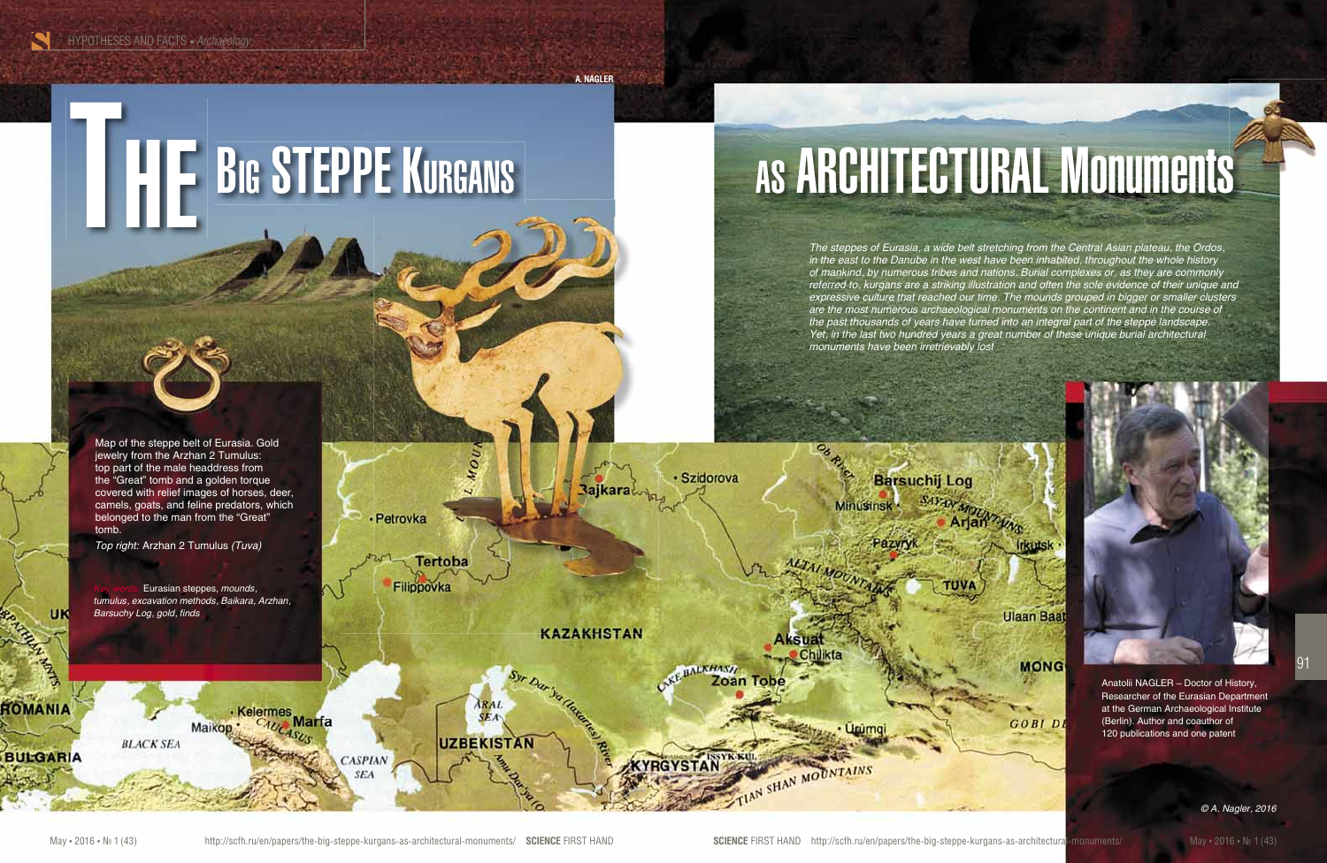HYPOTHESES AND FACTS • *Archaeology* 

**A. NAGLER**

**Bajkara** 

**KAZAKHSTAN** 

· Szidorova

**ALKHAST** Zoan

**YRGYSTAN** 

**Barsuchij Log** 

*The steppes of Eurasia, a wide belt stretching from the Central Asian plateau, the Ordos, in the east to the Danube in the west have been inhabited, throughout the whole history of mankind, by numerous tribes and nations. Burial complexes or, as they are commonly referred to, kurgans are a striking illustration and often the sole evidence of their unique and expressive culture that reached our time. The mounds grouped in bigger or smaller clusters are the most numerous archaeological monuments on the continent and in the course of the past thousands of years have turned into an integral part of the steppe landscape. Yet, in the last two hundred years a great number of these unique burial architectural monuments have been irretrievably lost*

**Ulaan Baat** 

**MONG** 

**GOBIDI** 

Anatolii NAGLER – Doctor of History, Researcher of the Eurasian Department at the German Archaeological Institute (Berlin). Author and coauthor of 120 publications and one patent

Map of the steppe belt of Eurasia. Gold jewelry from the Arzhan 2 Tumulus: top part of the male headdress from the "Great" tomb and a golden torque covered with relief images of horses, deer, camels, goats, and feline predators, which belonged to the man from the "Great" tomb.

*Top right:* Arzhan 2 Tumulus *(Tuva)*

Eurasian steppes, *mounds, tumulus, excavation methods, Baikara, Arzhan, Barsuchy Log, gold, finds*

Maikon

**BLACK SEA** 

Kelermes<br><sub>p.</sub> C<sub>AUCA</sub>Narfa

**UK** 

 $\mathbf{P}_{\mathbf{A}}$ 

ROMANIA

**BULGARIA** 

**CASPIAN** 

**SEA** 

· Petrovka

**Tertoba** 

**ARAL**<br>SEA

**UZBEKISTAN** 

Filippovka

SHAN MOUNTAINS



91



*© A. Nagler, 2016*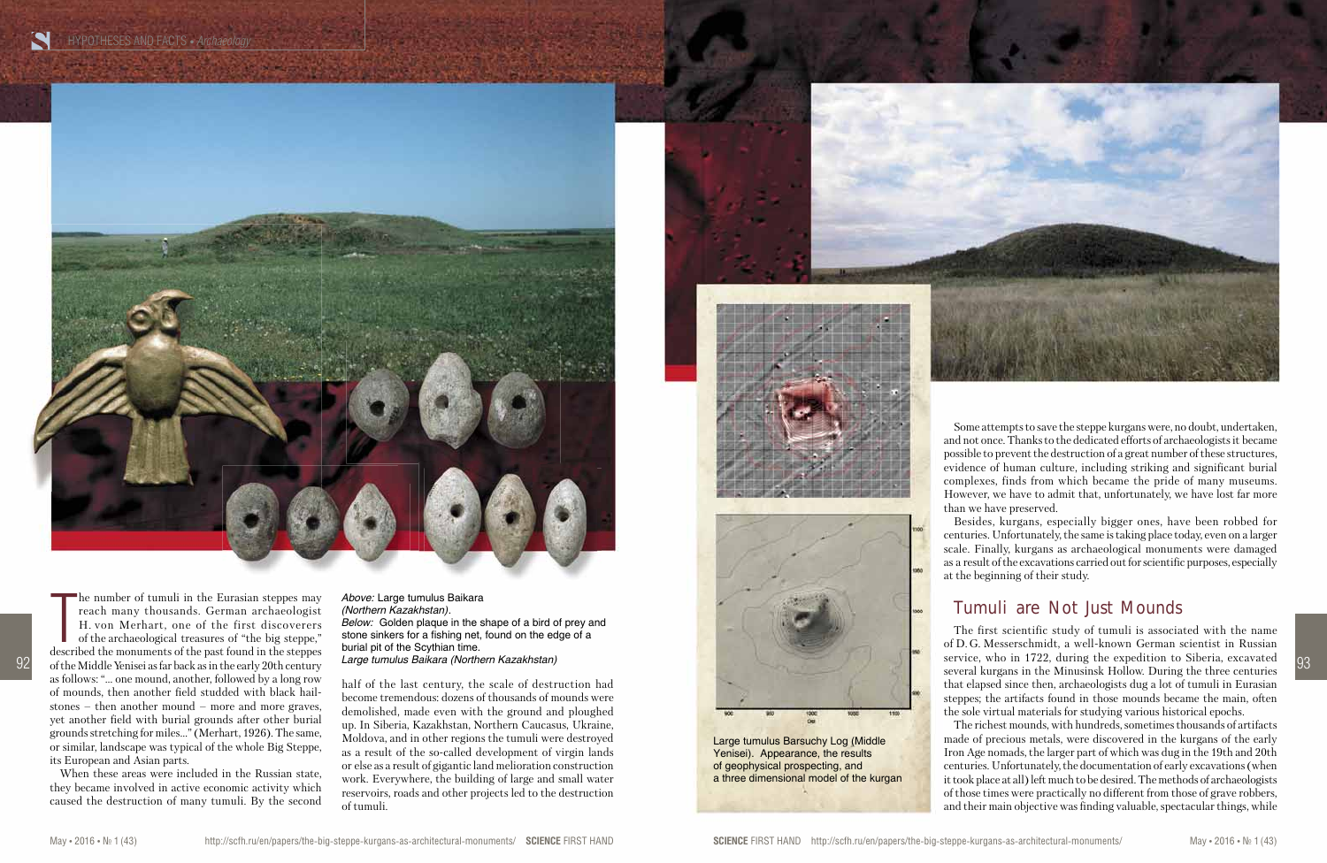

half of the last century, the scale of destruction had become tremendous: dozens of thousands of mounds were demolished, made even with the ground and ploughed up. In Siberia, Kazakhstan, Northern Caucasus, Ukraine, Moldova, and in other regions the tumuli were destroyed as a result of the so-called development of virgin lands or else as a result of gigantic land melioration construction work. Everywhere, the building of large and small water reservoirs, roads and other projects led to the destruction of tumuli. **Large tumulus Baikara (Northern Kazakhstan)**<br>
become trennehologies that of the last century, the scale of destruction had<br>
become trennehologist due of the second<br>
development of integrand and ploughed<br>
up. In Siberia,







Some attempts to save the steppe kurgans were, no doubt, undertaken, and not once. Thanks to the dedicated efforts of archaeologists it became possible to prevent the destruction of a great number of these structures, evidence of human culture, including striking and significant burial complexes, finds from which became the pride of many museums. However, we have to admit that, unfortunately, we have lost far more than we have preserved.

Besides, kurgans, especially bigger ones, have been robbed for centuries. Unfortunately, the same is taking place today, even on a larger scale. Finally, kurgans as archaeological monuments were damaged as a result of the excavations carried out for scientific purposes, especially at the beginning of their study.

# Tumuli are Not Just Mounds

The number of tumuli in the Eurasian steppes may<br>reach many thousands. German archaeologist<br>H. von Merhart, one of the first discoverers<br>of the archaeological treasures of "the big steppe,"<br>described the monuments of the p he number of tumuli in the Eurasian steppes may reach many thousands. German archaeologist H. von Merhart, one of the first discoverers of the archaeological treasures of "the big steppe," of the Middle Yenisei as far back as in the early 20th century as follows: "… one mound, another, followed by a long row of mounds, then another field studded with black hailstones – then another mound – more and more graves, yet another field with burial grounds after other burial grounds stretching for miles…" (Merhart, 1926). The same, or similar, landscape was typical of the whole Big Steppe, its European and Asian parts.

The first scientific study of tumuli is associated with the name of D. G. Messerschmidt, a well-known German scientist in Russian service, who in 1722, during the expedition to Siberia, excavated several kurgans in the Minusinsk Hollow. During the three centuries that elapsed since then, archaeologists dug a lot of tumuli in Eurasian steppes; the artifacts found in those mounds became the main, often the sole virtual materials for studying various historical epochs.

The richest mounds, with hundreds, sometimes thousands of artifacts made of precious metals, were discovered in the kurgans of the early Iron Age nomads, the larger part of which was dug in the 19th and 20th centuries. Unfortunately, the documentation of early excavations (when it took place at all) left much to be desired. The methods of archaeologists of those times were practically no different from those of grave robbers, and their main objective was finding valuable, spectacular things, while

Large tumulus Barsuchy Log (Middle Yenisei). Appearance, the results of geophysical prospecting, and a three dimensional model of the kurgan

When these areas were included in the Russian state, they became involved in active economic activity which caused the destruction of many tumuli. By the second *Above:* Large tumulus Baikara *(Northern Kazakhstan)*. *Below:* Golden plaque in the shape of a bird of prey and stone sinkers for a fishing net, found on the edge of a burial pit of the Scythian time.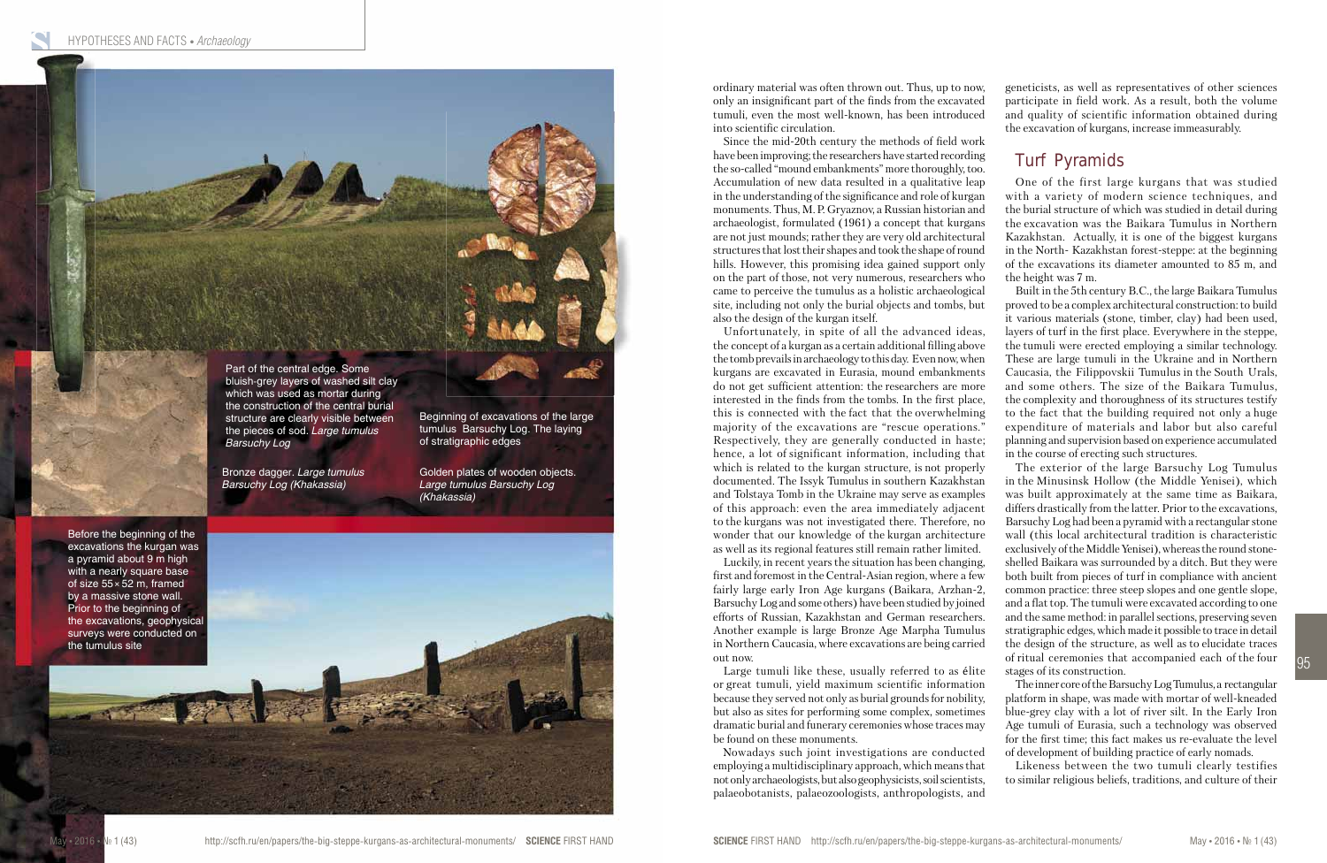geneticists, as well as representatives of other sciences participate in field work. As a result, both the volume and quality of scientific information obtained during the excavation of kurgans, increase immeasurably.

## Turf Pyramids

One of the first large kurgans that was studied with a variety of modern science techniques, and the burial structure of which was studied in detail during the excavation was the Baikara Tumulus in Northern Kazakhstan. Actually, it is one of the biggest kurgans in the North- Kazakhstan forest-steppe: at the beginning of the excavations its diameter amounted to 85 m, and

the height was 7 m.

Built in the 5th century B.C., the large Baikara Tumulus proved to be a complex architectural construction: to build it various materials (stone, timber, clay) had been used, layers of turf in the first place. Everywhere in the steppe, the tumuli were erected employing a similar technology. These are large tumuli in the Ukraine and in Northern Caucasia, the Filippovskii Tumulus in the South Urals, and some others. The size of the Baikara Tumulus, the complexity and thoroughness of its structures testify to the fact that the building required not only a huge expenditure of materials and labor but also careful planning and supervision based on experience accumulated in the course of erecting such structures.

The exterior of the large Barsuchy Log Tumulus in the Minusinsk Hollow (the Middle Yenisei), which was built approximately at the same time as Baikara, differs drastically from the latter. Prior to the excavations, Barsuchy Log had been a pyramid with a rectangular stone wall (this local architectural tradition is characteristic exclusively of the Middle Yenisei), whereas the round stoneshelled Baikara was surrounded by a ditch. But they were both built from pieces of turf in compliance with ancient common practice: three steep slopes and one gentle slope, and a flat top. The tumuli were excavated according to one and the same method: in parallel sections, preserving seven stratigraphic edges, which made it possible to trace in detail the design of the structure, as well as to elucidate traces of ritual ceremonies that accompanied each of the four stages of its construction.

The inner core of the Barsuchy Log Tumulus, a rectangular platform in shape, was made with mortar of well-kneaded blue-grey clay with a lot of river silt. In the Early Iron Age tumuli of Eurasia, such a technology was observed for the first time; this fact makes us re-evaluate the level of development of building practice of early nomads.

Likeness between the two tumuli clearly testifies to similar religious beliefs, traditions, and culture of their

ordinary material was often thrown out. Thus, up to now, only an insignificant part of the finds from the excavated tumuli, even the most well-known, has been introduced into scientific circulation.



Since the mid-20th century the methods of field work have been improving; the researchers have started recording the so-called "mound embankments" more thoroughly, too. Accumulation of new data resulted in a qualitative leap in the understanding of the significance and role of kurgan monuments. Thus, M. P. Gryaznov, a Russian historian and archaeologist, formulated (1961) a concept that kurgans are not just mounds; rather they are very old architectural structures that lost their shapes and took the shape of round hills. However, this promising idea gained support only on the part of those, not very numerous, researchers who came to perceive the tumulus as a holistic archaeological site, including not only the burial objects and tombs, but also the design of the kurgan itself.

Unfortunately, in spite of all the advanced ideas, the concept of a kurgan as a certain additional filling above the tomb prevails in archaeology to this day. Even now, when kurgans are excavated in Eurasia, mound embankments do not get sufficient attention: the researchers are more interested in the finds from the tombs. In the first place, this is connected with the fact that the overwhelming majority of the excavations are "rescue operations." Respectively, they are generally conducted in haste; hence, a lot of significant information, including that which is related to the kurgan structure, is not properly documented. The Issyk Tumulus in southern Kazakhstan and Tolstaya Tomb in the Ukraine may serve as examples of this approach: even the area immediately adjacent to the kurgans was not investigated there. Therefore, no wonder that our knowledge of the kurgan architecture as well as its regional features still remain rather limited.

Luckily, in recent years the situation has been changing, first and foremost in the Central-Asian region, where a few fairly large early Iron Age kurgans (Baikara, Arzhan-2, Barsuchy Log and some others) have been studied by joined efforts of Russian, Kazakhstan and German researchers. Another example is large Bronze Age Marpha Tumulus in Northern Caucasia, where excavations are being carried out now.

Large tumuli like these, usually referred to as élite or great tumuli, yield maximum scientific information because they served not only as burial grounds for nobility, but also as sites for performing some complex, sometimes dramatic burial and funerary ceremonies whose traces may be found on these monuments.

Nowadays such joint investigations are conducted employing a multidisciplinary approach, which means that not only archaeologists, but also geophysicists, soil scientists, palaeobotanists, palaeozoologists, anthropologists, and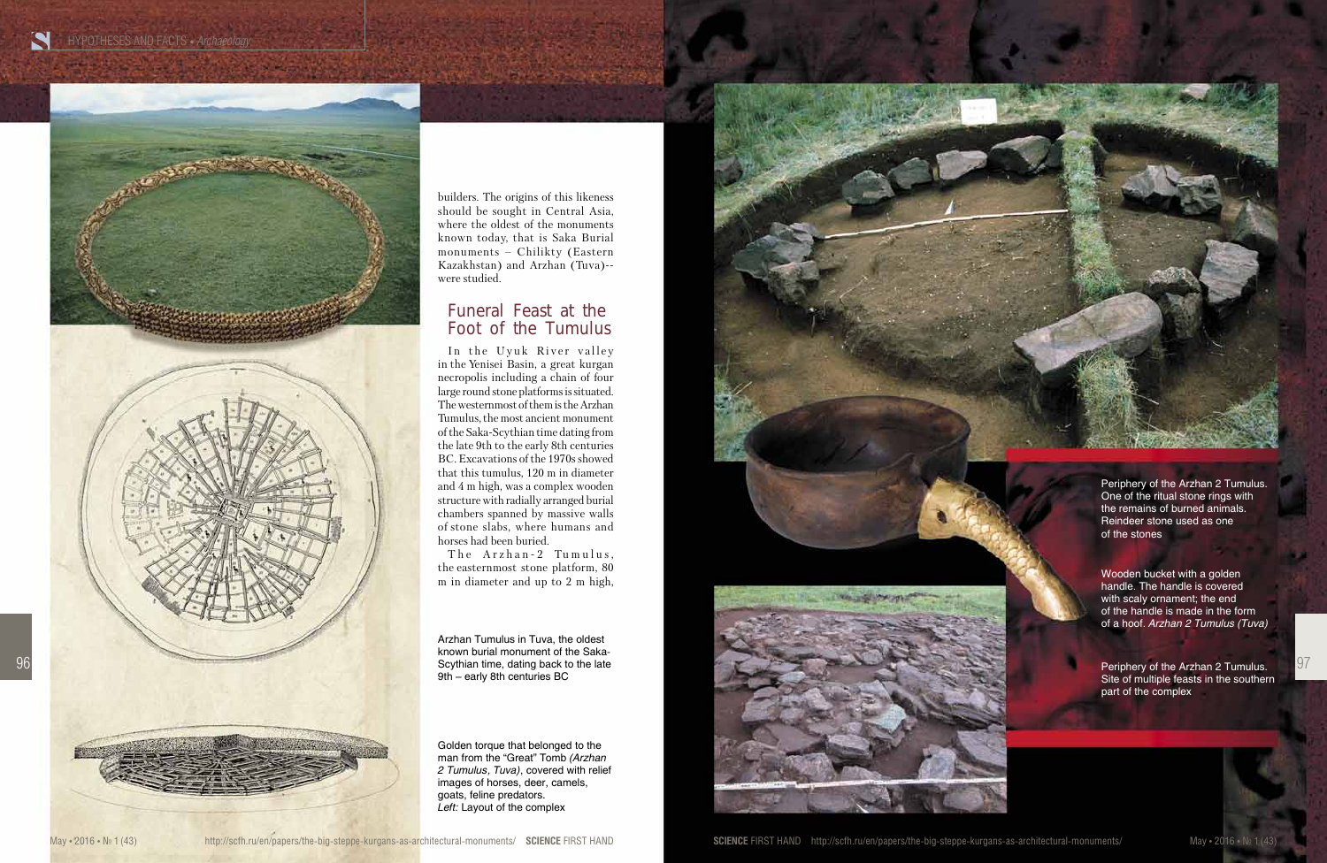





97

builders. The origins of this likeness should be sought in Central Asia, where the oldest of the monuments known today, that is Saka Burial monuments – Chilikty (Eastern Kazakhstan) and Arzhan (Tuva)- were studied.

### Funeral Feast at the Foot of the Tumulus

In the Uyuk River valley in the Yenisei Basin, a great kurgan necropolis including a chain of four large round stone platforms is situated. The westernmost of them is the Arzhan Tumulus, the most ancient monument of the Saka-Scythian time dating from the late 9th to the early 8th centuries BC. Excavations of the 1970s showed that this tumulus, 120 m in diameter and 4 m high, was a complex wooden structure with radially arranged burial chambers spanned by massive walls of stone slabs, where humans and horses had been buried.

The Arzhan-2 Tumulus, the easternmost stone platform, 80 m in diameter and up to 2 m high,

**SCIENCE** FIRST HAND http://scfh.ru/en/papers/the-big-steppe-kurgans-as-architectural-monuments/ May • 2016 • № 1 (43) №

Golden torque that belonged to the man from the "Great" Tomb *(Arzhan 2 Tumulus, Tuva)*, covered with relief images of horses, deer, camels, goats, feline predators. *Left:* Layout of the complex

Arzhan Tumulus in Tuva, the oldest known burial monument of the Saka-Scythian time, dating back to the late

![](_page_3_Picture_9.jpeg)

Site of multiple feasts in the southern part of the complex

Wooden bucket with a golden handle. The handle is covered with scaly ornament; the end of the handle is made in the form of a hoof. *Arzhan 2 Tumulus (Tuva)*

Periphery of the Arzhan 2 Tumulus. One of the ritual stone rings with the remains of burned animals. Reindeer stone used as one of the stones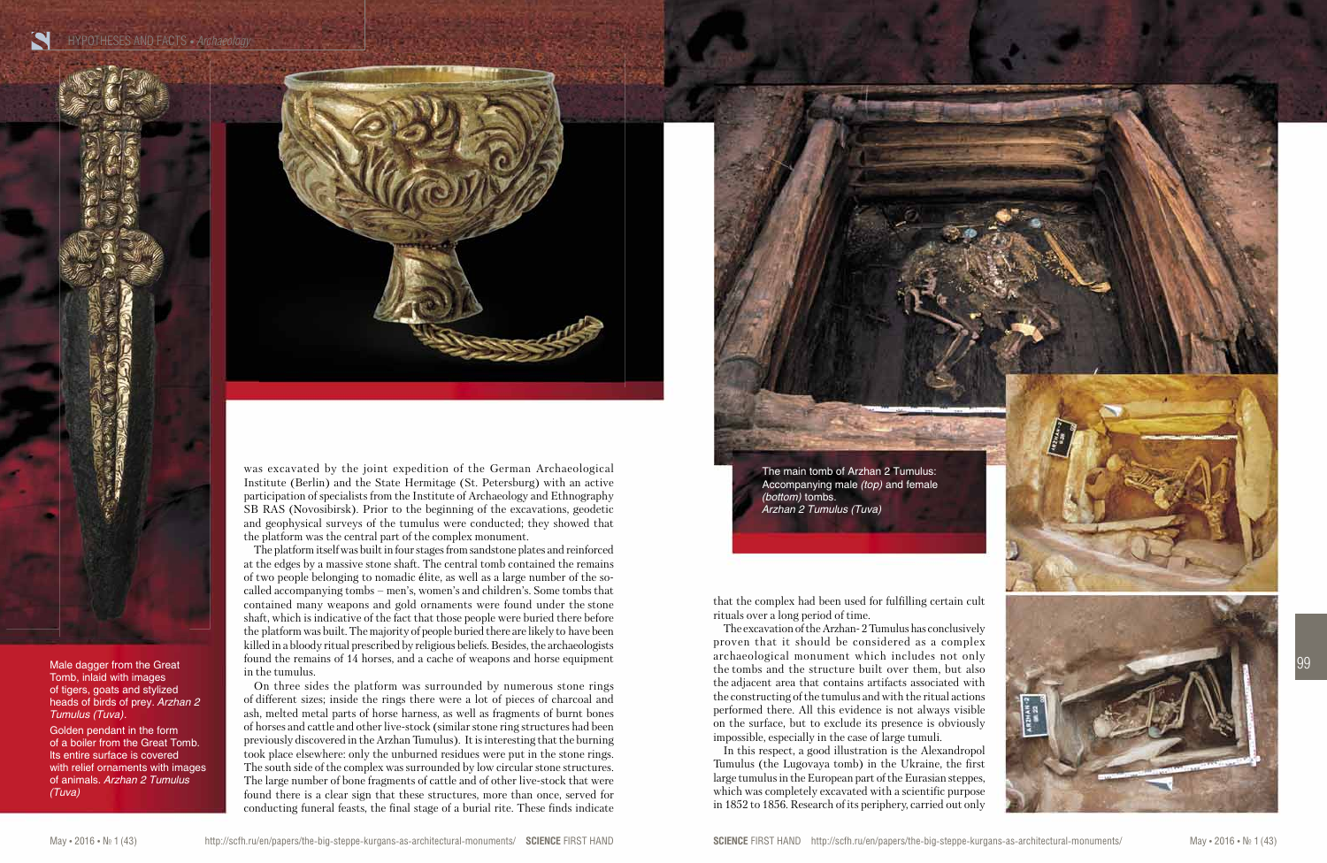HYPOTHESES AND FACTS • *Archaeology* 

![](_page_4_Picture_1.jpeg)

![](_page_4_Picture_14.jpeg)

Male dagger from the Great Tomb, inlaid with images of tigers, goats and stylized heads of birds of prey. *Arzhan 2 Tumulus (Tuva).*

Golden pendant in the form of a boiler from the Great Tomb. Its entire surface is covered with relief ornaments with images of animals. *Arzhan 2 Tumulus (Tuva)*

was excavated by the joint expedition of the German Archaeological Institute (Berlin) and the State Hermitage (St. Petersburg) with an active participation of specialists from the Institute of Archaeology and Ethnography SB RAS (Novosibirsk). Prior to the beginning of the excavations, geodetic and geophysical surveys of the tumulus were conducted; they showed that the platform was the central part of the complex monument.

The platform itself was built in four stages from sandstone plates and reinforced at the edges by a massive stone shaft. The central tomb contained the remains of two people belonging to nomadic élite, as well as a large number of the socalled accompanying tombs – men's, women's and children's. Some tombs that contained many weapons and gold ornaments were found under the stone shaft, which is indicative of the fact that those people were buried there before the platform was built. The majority of people buried there are likely to have been killed in a bloody ritual prescribed by religious beliefs. Besides, the archaeologists found the remains of 14 horses, and a cache of weapons and horse equipment in the tumulus.

On three sides the platform was surrounded by numerous stone rings of different sizes; inside the rings there were a lot of pieces of charcoal and ash, melted metal parts of horse harness, as well as fragments of burnt bones of horses and cattle and other live-stock (similar stone ring structures had been previously discovered in the Arzhan Tumulus). It is interesting that the burning took place elsewhere: only the unburned residues were put in the stone rings. The south side of the complex was surrounded by low circular stone structures. The large number of bone fragments of cattle and of other live-stock that were found there is a clear sign that these structures, more than once, served for conducting funeral feasts, the final stage of a burial rite. These finds indicate that the complex had been used for fulfilling certain cult rituals over a long period of time.

The excavation of the Arzhan- 2 Tumulus has conclusively proven that it should be considered as a complex archaeological monument which includes not only the tombs and the structure built over them, but also the adjacent area that contains artifacts associated with the constructing of the tumulus and with the ritual actions performed there. All this evidence is not always visible on the surface, but to exclude its presence is obviously impossible, especially in the case of large tumuli.

In this respect, a good illustration is the Alexandropol Tumulus (the Lugovaya tomb) in the Ukraine, the first large tumulus in the European part of the Eurasian steppes, which was completely excavated with a scientific purpose in 1852 to 1856. Research of its periphery, carried out only

The main tomb of Arzhan 2 Tumulus: Accompanying male *(top)* and female *(bottom)* tombs. *Arzhan 2 Tumulus (Tuva)*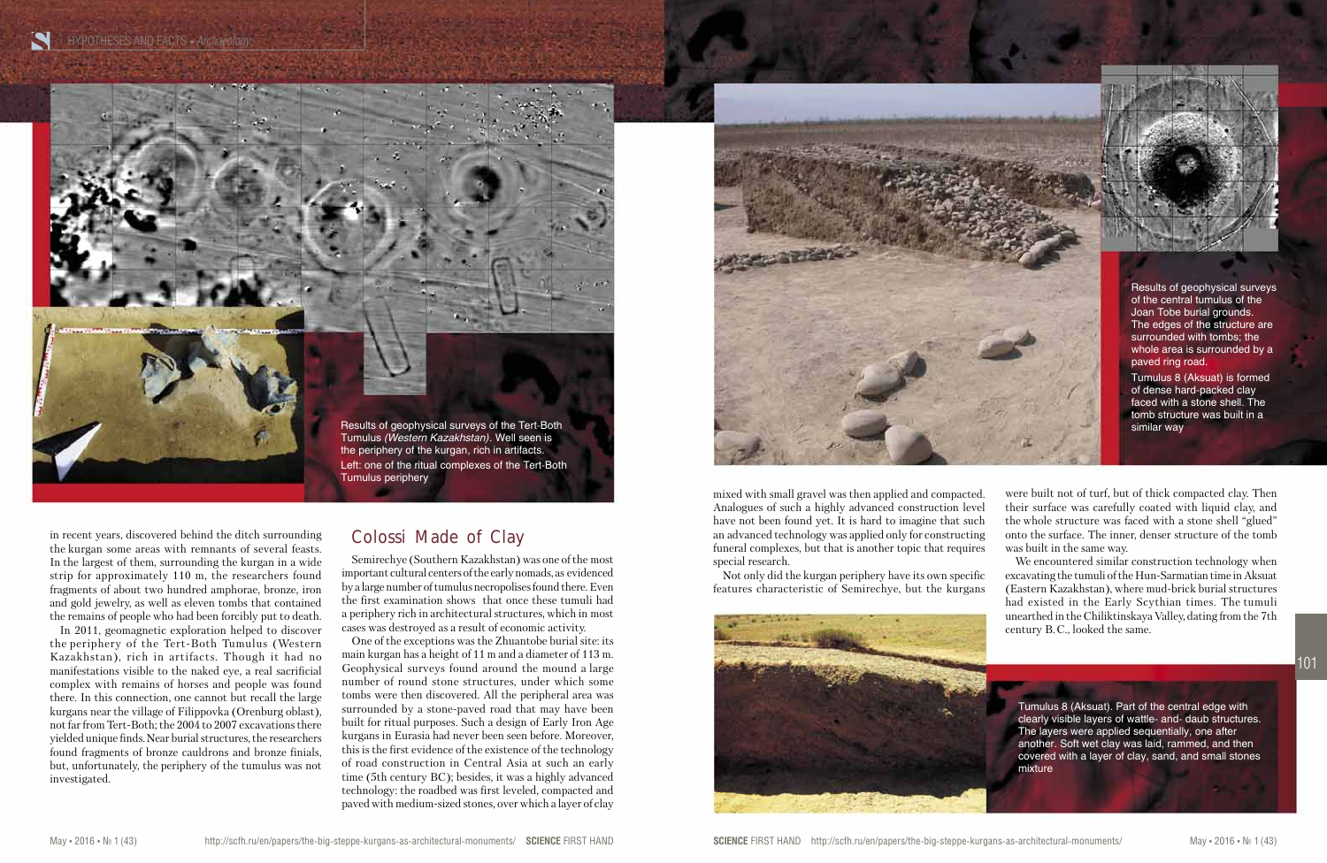![](_page_5_Picture_1.jpeg)

were built not of turf, but of thick compacted clay. Then their surface was carefully coated with liquid clay, and the whole structure was faced with a stone shell "glued" onto the surface. The inner, denser structure of the tomb was built in the same way.

We encountered similar construction technology when excavating the tumuli of the Hun-Sarmatian time in Aksuat (Eastern Kazakhstan), where mud-brick burial structures had existed in the Early Scythian times. The tumuli unearthed in the Chiliktinskaya Valley, dating from the 7th century B. C., looked the same.

in recent years, discovered behind the ditch surrounding the kurgan some areas with remnants of several feasts. In the largest of them, surrounding the kurgan in a wide strip for approximately 110 m, the researchers found fragments of about two hundred amphorae, bronze, iron and gold jewelry, as well as eleven tombs that contained the remains of people who had been forcibly put to death.

In 2011, geomagnetic exploration helped to discover the periphery of the Tert-Both Tumulus (Western Kazakhstan), rich in artifacts. Though it had no manifestations visible to the naked eye, a real sacrificial complex with remains of horses and people was found there. In this connection, one cannot but recall the large kurgans near the village of Filippovka (Orenburg oblast), not far from Tert-Both; the 2004 to 2007 excavations there yielded unique finds. Near burial structures, the researchers found fragments of bronze cauldrons and bronze finials, but, unfortunately, the periphery of the tumulus was not investigated.

# Colossi Made of Clay

Semirechye (Southern Kazakhstan) was one of the most important cultural centers of the early nomads, as evidenced by a large number of tumulus necropolises found there. Even the first examination shows that once these tumuli had a periphery rich in architectural structures, which in most cases was destroyed as a result of economic activity.

One of the exceptions was the Zhuantobe burial site: its main kurgan has a height of 11 m and a diameter of 113 m. Geophysical surveys found around the mound a large number of round stone structures, under which some tombs were then discovered. All the peripheral area was surrounded by a stone-paved road that may have been built for ritual purposes. Such a design of Early Iron Age kurgans in Eurasia had never been seen before. Moreover, this is the first evidence of the existence of the technology of road construction in Central Asia at such an early time (5th century BC); besides, it was a highly advanced technology: the roadbed was first leveled, compacted and paved with medium-sized stones, over which a layer of clay mixed with small gravel was then applied and compacted. Analogues of such a highly advanced construction level have not been found yet. It is hard to imagine that such an advanced technology was applied only for constructing funeral complexes, but that is another topic that requires special research.

Not only did the kurgan periphery have its own specific features characteristic of Semirechye, but the kurgans

![](_page_5_Picture_10.jpeg)

![](_page_5_Picture_7.jpeg)

Tumulus 8 (Aksuat). Part of the central edge with clearly visible layers of wattle- and- daub structures. The layers were applied sequentially, one after another. Soft wet clay was laid, rammed, and then covered with a layer of clay, sand, and small stones

mixture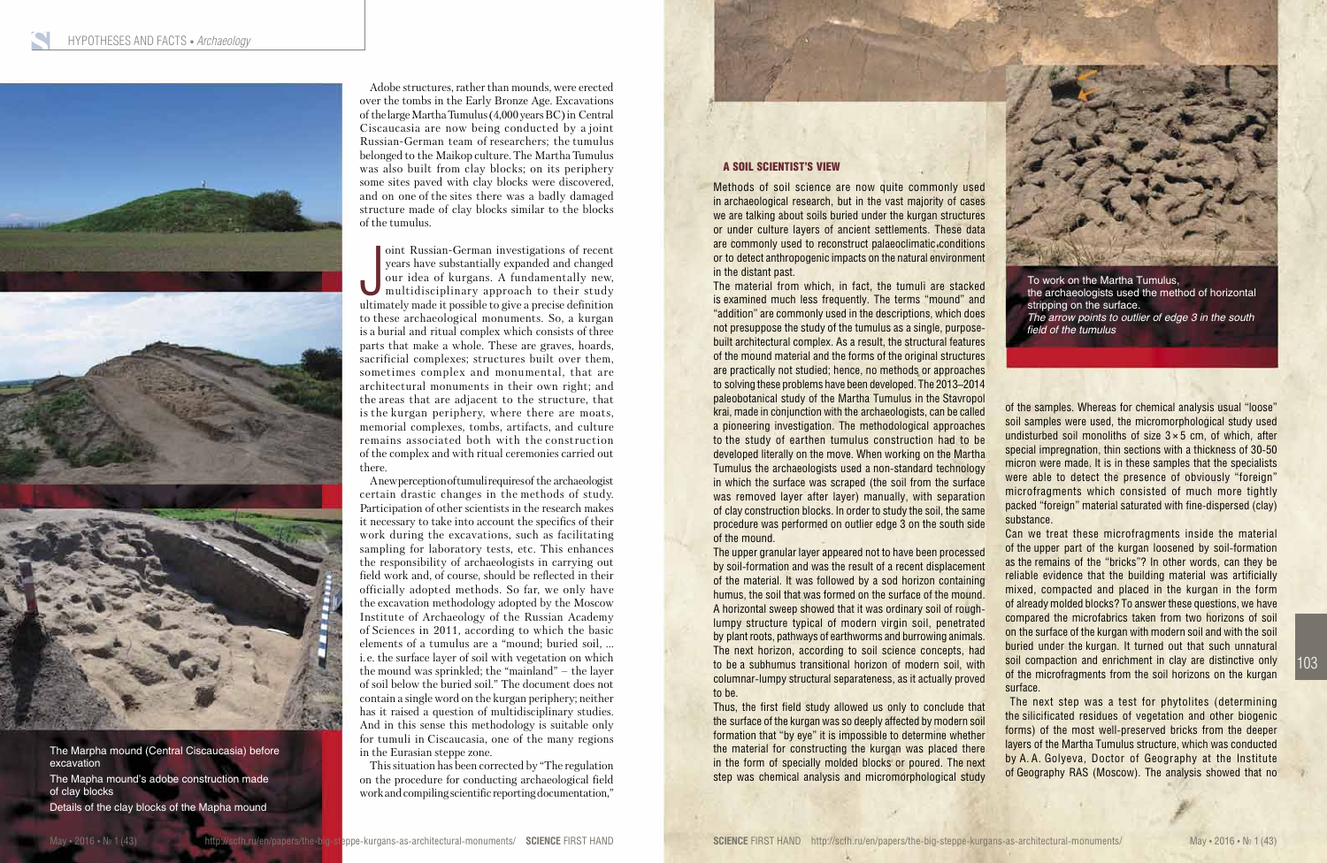![](_page_6_Picture_1.jpeg)

The Marpha mound (Central Ciscaucasia) before excavation The Mapha mound's adobe construction made of clay blocks Details of the clay blocks of the Mapha mound

### A SOIL SCIENTIST'S VIEW

Methods of soil science are now quite commonly used in archaeological research, but in the vast majority of cases we are talking about soils buried under the kurgan structures or under culture layers of ancient settlements. These data are commonly used to reconstruct palaeoclimatic conditions or to detect anthropogenic impacts on the natural environment in the distant past.

The material from which, in fact, the tumuli are stacked is examined much less frequently. The terms "mound" and "addition" are commonly used in the descriptions, which does not presuppose the study of the tumulus as a single, purposebuilt architectural complex. As a result, the structural features of the mound material and the forms of the original structures are practically not studied; hence, no methods or approaches to solving these problems have been developed. The 2013–2014 paleobotanical study of the Martha Tumulus in the Stavropol krai, made in conjunction with the archaeologists, can be called a pioneering investigation. The methodological approaches to the study of earthen tumulus construction had to be developed literally on the move. When working on the Martha Tumulus the archaeologists used a non-standard technology in which the surface was scraped (the soil from the surface was removed layer after layer) manually, with separation of clay construction blocks. In order to study the soil, the same procedure was performed on outlier edge 3 on the south side of the mound.

The upper granular layer appeared not to have been processed by soil-formation and was the result of a recent displacement of the material. It was followed by a sod horizon containing humus, the soil that was formed on the surface of the mound. A horizontal sweep showed that it was ordinary soil of roughlumpy structure typical of modern virgin soil, penetrated by plant roots, pathways of earthworms and burrowing animals. The next horizon, according to soil science concepts, had to be a subhumus transitional horizon of modern soil, with columnar-lumpy structural separateness, as it actually proved to be.

Thus, the first field study allowed us only to conclude that the surface of the kurgan was so deeply affected by modern soil formation that "by eye" it is impossible to determine whether the material for constructing the kurgan was placed there in the form of specially molded blocks or poured. The next step was chemical analysis and micromorphological study

oint Russian-German investigations of recent<br>years have substantially expanded and changed<br>our idea of kurgans. A fundamentally new,<br>multidisciplinary approach to their study<br>ultimately made it possible to give a precise d oint Russian-German investigations of recent years have substantially expanded and changed our idea of kurgans. A fundamentally new, multidisciplinary approach to their study to these archaeological monuments. So, a kurgan is a burial and ritual complex which consists of three parts that make a whole. These are graves, hoards, sacrificial complexes; structures built over them, sometimes complex and monumental, that are architectural monuments in their own right; and the areas that are adjacent to the structure, that is the kurgan periphery, where there are moats, memorial complexes, tombs, artifacts, and culture remains associated both with the construction of the complex and with ritual ceremonies carried out there.

of the samples. Whereas for chemical analysis usual "loose" soil samples were used, the micromorphological study used undisturbed soil monoliths of size  $3 \times 5$  cm, of which, after special impregnation, thin sections with a thickness of 30-50 micron were made. It is in these samples that the specialists were able to detect the presence of obviously "foreign" microfragments which consisted of much more tightly packed "foreign" material saturated with fine-dispersed (clay)

substance. surface.

Can we treat these microfragments inside the material of the upper part of the kurgan loosened by soil-formation as the remains of the "bricks"? In other words, can they be reliable evidence that the building material was artificially mixed, compacted and placed in the kurgan in the form of already molded blocks? To answer these questions, we have compared the microfabrics taken from two horizons of soil on the surface of the kurgan with modern soil and with the soil buried under the kurgan. It turned out that such unnatural soil compaction and enrichment in clay are distinctive only of the microfragments from the soil horizons on the kurgan

![](_page_6_Picture_18.jpeg)

 The next step was a test for phytolites (determining the silicificated residues of vegetation and other biogenic forms) of the most well-preserved bricks from the deeper layers of the Martha Tumulus structure, which was conducted by A. A. Golyeva, Doctor of Geography at the Institute of Geography RAS (Moscow). The analysis showed that no

To work on the Martha Tumulus, the archaeologists used the method of horizontal stripping on the surface. *The arrow points to outlier of edge 3 in the south field of the tumulus*

Adobe structures, rather than mounds, were erected over the tombs in the Early Bronze Age. Excavations of the large Martha Tumulus (4,000 years BC) in Central Ciscaucasia are now being conducted by a joint Russian-German team of researchers; the tumulus belonged to the Maikop culture. The Martha Tumulus was also built from clay blocks; on its periphery some sites paved with clay blocks were discovered, and on one of the sites there was a badly damaged structure made of clay blocks similar to the blocks of the tumulus.

A new perception of tumuli requires of the archaeologist certain drastic changes in the methods of study. Participation of other scientists in the research makes it necessary to take into account the specifics of their work during the excavations, such as facilitating sampling for laboratory tests, etc. This enhances the responsibility of archaeologists in carrying out field work and, of course, should be reflected in their officially adopted methods. So far, we only have the excavation methodology adopted by the Moscow Institute of Archaeology of the Russian Academy of Sciences in 2011, according to which the basic elements of a tumulus are a "mound; buried soil, ... i. e. the surface layer of soil with vegetation on which the mound was sprinkled; the "mainland" – the layer of soil below the buried soil." The document does not contain a single word on the kurgan periphery; neither has it raised a question of multidisciplinary studies. And in this sense this methodology is suitable only for tumuli in Ciscaucasia, one of the many regions in the Eurasian steppe zone.

This situation has been corrected by "The regulation on the procedure for conducting archaeological field work and compiling scientific reporting documentation,"